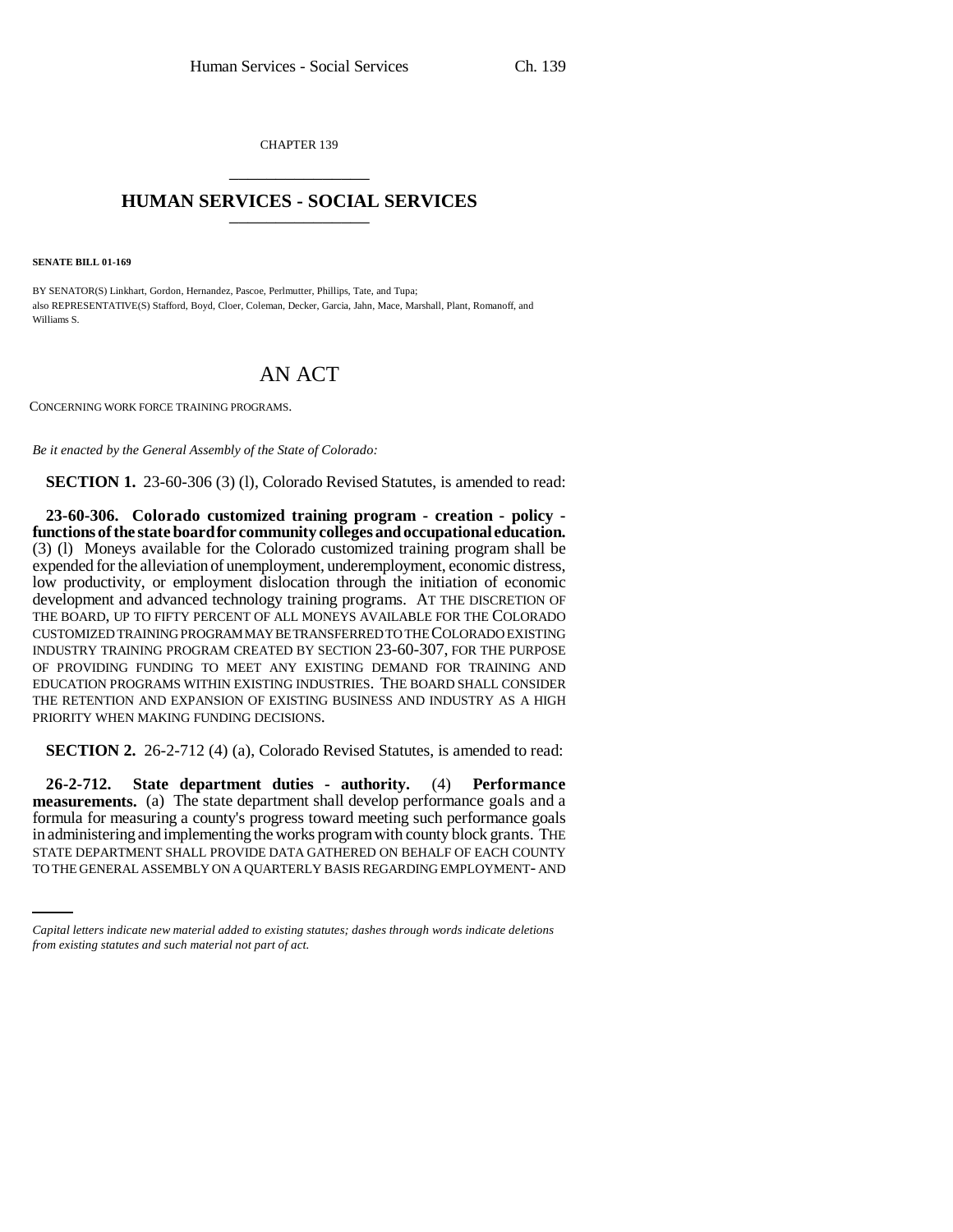CHAPTER 139 \_\_\_\_\_\_\_\_\_\_\_\_\_\_\_

## **HUMAN SERVICES - SOCIAL SERVICES** \_\_\_\_\_\_\_\_\_\_\_\_\_\_\_

**SENATE BILL 01-169**

BY SENATOR(S) Linkhart, Gordon, Hernandez, Pascoe, Perlmutter, Phillips, Tate, and Tupa; also REPRESENTATIVE(S) Stafford, Boyd, Cloer, Coleman, Decker, Garcia, Jahn, Mace, Marshall, Plant, Romanoff, and Williams S.

## AN ACT

CONCERNING WORK FORCE TRAINING PROGRAMS.

*Be it enacted by the General Assembly of the State of Colorado:*

**SECTION 1.** 23-60-306 (3) (1), Colorado Revised Statutes, is amended to read:

**23-60-306. Colorado customized training program - creation - policy functions of the state board for community colleges and occupational education.** (3) (l) Moneys available for the Colorado customized training program shall be expended for the alleviation of unemployment, underemployment, economic distress, low productivity, or employment dislocation through the initiation of economic development and advanced technology training programs. AT THE DISCRETION OF THE BOARD, UP TO FIFTY PERCENT OF ALL MONEYS AVAILABLE FOR THE COLORADO CUSTOMIZED TRAINING PROGRAM MAY BE TRANSFERRED TO THE COLORADO EXISTING INDUSTRY TRAINING PROGRAM CREATED BY SECTION 23-60-307, FOR THE PURPOSE OF PROVIDING FUNDING TO MEET ANY EXISTING DEMAND FOR TRAINING AND EDUCATION PROGRAMS WITHIN EXISTING INDUSTRIES. THE BOARD SHALL CONSIDER THE RETENTION AND EXPANSION OF EXISTING BUSINESS AND INDUSTRY AS A HIGH PRIORITY WHEN MAKING FUNDING DECISIONS.

**SECTION 2.** 26-2-712 (4) (a), Colorado Revised Statutes, is amended to read:

in administering and implementing the works program with county block grants. THE **26-2-712. State department duties - authority.** (4) **Performance measurements.** (a) The state department shall develop performance goals and a formula for measuring a county's progress toward meeting such performance goals STATE DEPARTMENT SHALL PROVIDE DATA GATHERED ON BEHALF OF EACH COUNTY TO THE GENERAL ASSEMBLY ON A QUARTERLY BASIS REGARDING EMPLOYMENT- AND

*Capital letters indicate new material added to existing statutes; dashes through words indicate deletions from existing statutes and such material not part of act.*